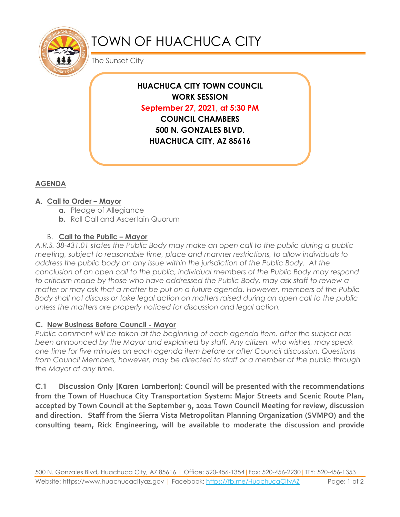

# TOWN OF HUACHUCA CITY

The Sunset City

**HUACHUCA CITY TOWN COUNCIL WORK SESSION September 27, 2021, at 5:30 PM COUNCIL CHAMBERS 500 N. GONZALES BLVD. HUACHUCA CITY, AZ 85616**

### **AGENDA**

#### **A. Call to Order – Mayor**

- **a.** Pledge of Allegiance
- **b.** Roll Call and Ascertain Quorum

#### B. **Call to the Public – Mayor**

*A.R.S. 38-431.01 states the Public Body may make an open call to the public during a public meeting, subject to reasonable time, place and manner restrictions, to allow individuals to address the public body on any issue within the jurisdiction of the Public Body. At the conclusion of an open call to the public, individual members of the Public Body may respond to criticism made by those who have addressed the Public Body, may ask staff to review a matter or may ask that a matter be put on a future agenda. However, members of the Public Body shall not discuss or take legal action on matters raised during an open call to the public unless the matters are properly noticed for discussion and legal action.*

#### **C. New Business Before Council - Mayor**

*Public comment will be taken at the beginning of each agenda item, after the subject has been announced by the Mayor and explained by staff. Any citizen, who wishes, may speak one time for five minutes on each agenda item before or after Council discussion. Questions from Council Members, however, may be directed to staff or a member of the public through the Mayor at any time.* 

**C.1 Discussion Only [Karen Lamberton]: Council will be presented with the recommendations from the Town of Huachuca City Transportation System: Major Streets and Scenic Route Plan, accepted by Town Council at the September 9, 2021 Town Council Meeting for review, discussion and direction. Staff from the Sierra Vista Metropolitan Planning Organization (SVMPO) and the consulting team, Rick Engineering, will be available to moderate the discussion and provide**